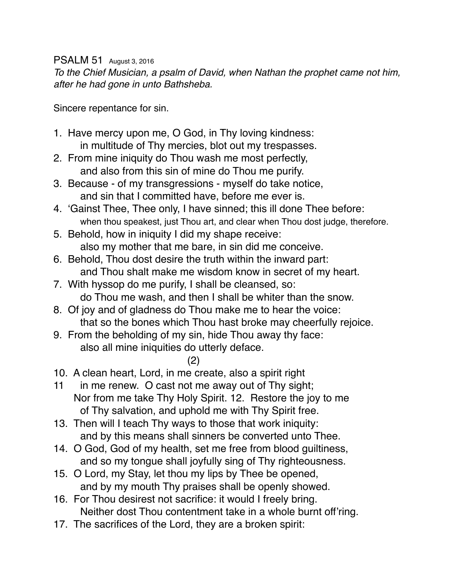#### PSALM 51 August 3, 2016

*To the Chief Musician, a psalm of David, when Nathan the prophet came not him, after he had gone in unto Bathsheba.*

Sincere repentance for sin.

- 1. Have mercy upon me, O God, in Thy loving kindness: in multitude of Thy mercies, blot out my trespasses.
- 2. From mine iniquity do Thou wash me most perfectly, and also from this sin of mine do Thou me purify.
- 3. Because of my transgressions myself do take notice, and sin that I committed have, before me ever is.
- 4. 'Gainst Thee, Thee only, I have sinned; this ill done Thee before: when thou speakest, just Thou art, and clear when Thou dost judge, therefore.
- 5. Behold, how in iniquity I did my shape receive: also my mother that me bare, in sin did me conceive.
- 6. Behold, Thou dost desire the truth within the inward part: and Thou shalt make me wisdom know in secret of my heart.
- 7. With hyssop do me purify, I shall be cleansed, so: do Thou me wash, and then I shall be whiter than the snow.
- 8. Of joy and of gladness do Thou make me to hear the voice: that so the bones which Thou hast broke may cheerfully rejoice.
- 9. From the beholding of my sin, hide Thou away thy face: also all mine iniquities do utterly deface.
	- (2)
- 10. A clean heart, Lord, in me create, also a spirit right
- 11 in me renew. O cast not me away out of Thy sight; Nor from me take Thy Holy Spirit. 12. Restore the joy to me of Thy salvation, and uphold me with Thy Spirit free.
- 13. Then will I teach Thy ways to those that work iniquity: and by this means shall sinners be converted unto Thee.
- 14. O God, God of my health, set me free from blood guiltiness, and so my tongue shall joyfully sing of Thy righteousness.
- 15. O Lord, my Stay, let thou my lips by Thee be opened, and by my mouth Thy praises shall be openly showed.
- 16. For Thou desirest not sacrifice: it would I freely bring. Neither dost Thou contentment take in a whole burnt off'ring.
- 17. The sacrifices of the Lord, they are a broken spirit: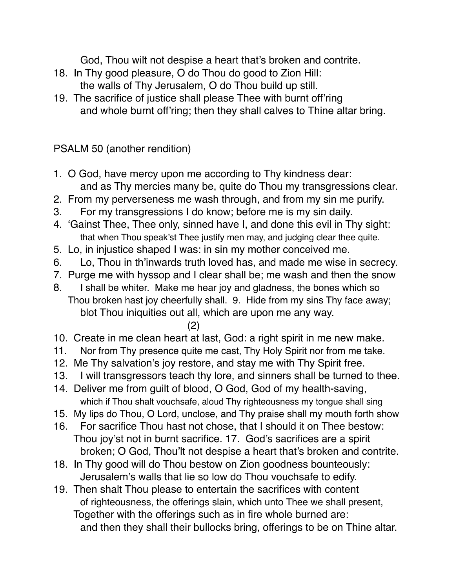God, Thou wilt not despise a heart that's broken and contrite.

- 18. In Thy good pleasure, O do Thou do good to Zion Hill: the walls of Thy Jerusalem, O do Thou build up still.
- 19. The sacrifice of justice shall please Thee with burnt off'ring and whole burnt off'ring; then they shall calves to Thine altar bring.

PSALM 50 (another rendition)

- 1. O God, have mercy upon me according to Thy kindness dear: and as Thy mercies many be, quite do Thou my transgressions clear.
- 2. From my perverseness me wash through, and from my sin me purify.
- 3. For my transgressions I do know; before me is my sin daily.
- 4. 'Gainst Thee, Thee only, sinned have I, and done this evil in Thy sight: that when Thou speak'st Thee justify men may, and judging clear thee quite.
- 5. Lo, in injustice shaped I was: in sin my mother conceived me.
- 6. Lo, Thou in th'inwards truth loved has, and made me wise in secrecy.
- 7. Purge me with hyssop and I clear shall be; me wash and then the snow
- 8. I shall be whiter. Make me hear joy and gladness, the bones which so Thou broken hast joy cheerfully shall. 9. Hide from my sins Thy face away; blot Thou iniquities out all, which are upon me any way.
	- (2)
- 10. Create in me clean heart at last, God: a right spirit in me new make.
- 11. Nor from Thy presence quite me cast, Thy Holy Spirit nor from me take.
- 12. Me Thy salvation's joy restore, and stay me with Thy Spirit free.
- 13. I will transgressors teach thy lore, and sinners shall be turned to thee.
- 14. Deliver me from guilt of blood, O God, God of my health-saving, which if Thou shalt vouchsafe, aloud Thy righteousness my tongue shall sing
- 15. My lips do Thou, O Lord, unclose, and Thy praise shall my mouth forth show
- 16. For sacrifice Thou hast not chose, that I should it on Thee bestow: Thou joy'st not in burnt sacrifice. 17. God's sacrifices are a spirit broken; O God, Thou'lt not despise a heart that's broken and contrite.
- 18. In Thy good will do Thou bestow on Zion goodness bounteously: Jerusalem's walls that lie so low do Thou vouchsafe to edify.
- 19. Then shalt Thou please to entertain the sacrifices with content of righteousness, the offerings slain, which unto Thee we shall present, Together with the offerings such as in fire whole burned are: and then they shall their bullocks bring, offerings to be on Thine altar.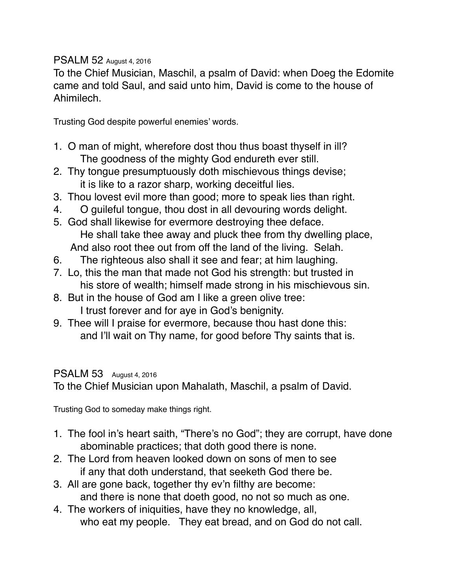### PSALM 52 August 4, 2016

To the Chief Musician, Maschil, a psalm of David: when Doeg the Edomite came and told Saul, and said unto him, David is come to the house of Ahimilech.

Trusting God despite powerful enemies' words.

- 1. O man of might, wherefore dost thou thus boast thyself in ill? The goodness of the mighty God endureth ever still.
- 2. Thy tongue presumptuously doth mischievous things devise; it is like to a razor sharp, working deceitful lies.
- 3. Thou lovest evil more than good; more to speak lies than right.
- 4. O guileful tongue, thou dost in all devouring words delight.
- 5. God shall likewise for evermore destroying thee deface. He shall take thee away and pluck thee from thy dwelling place, And also root thee out from off the land of the living. Selah.
- 6. The righteous also shall it see and fear; at him laughing.
- 7. Lo, this the man that made not God his strength: but trusted in his store of wealth; himself made strong in his mischievous sin.
- 8. But in the house of God am I like a green olive tree: I trust forever and for aye in God's benignity.
- 9. Thee will I praise for evermore, because thou hast done this: and I'll wait on Thy name, for good before Thy saints that is.

# PSALM 53 August 4, 2016

To the Chief Musician upon Mahalath, Maschil, a psalm of David.

Trusting God to someday make things right.

- 1. The fool in's heart saith, "There's no God"; they are corrupt, have done abominable practices; that doth good there is none.
- 2. The Lord from heaven looked down on sons of men to see if any that doth understand, that seeketh God there be.
- 3. All are gone back, together thy ev'n filthy are become: and there is none that doeth good, no not so much as one.
- 4. The workers of iniquities, have they no knowledge, all, who eat my people. They eat bread, and on God do not call.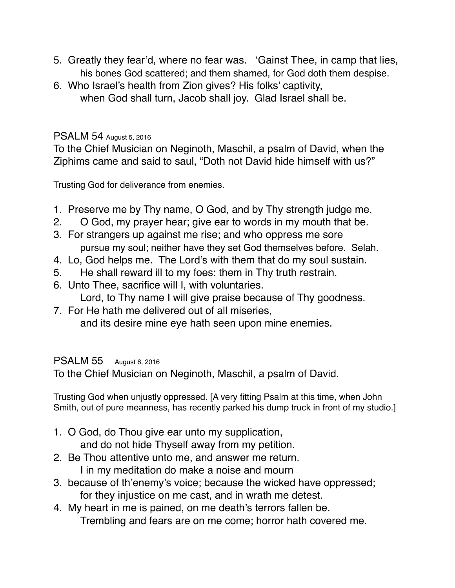- 5. Greatly they fear'd, where no fear was. 'Gainst Thee, in camp that lies, his bones God scattered; and them shamed, for God doth them despise.
- 6. Who Israel's health from Zion gives? His folks' captivity, when God shall turn, Jacob shall joy. Glad Israel shall be.

#### PSALM 54 August 5, 2016

To the Chief Musician on Neginoth, Maschil, a psalm of David, when the Ziphims came and said to saul, "Doth not David hide himself with us?"

Trusting God for deliverance from enemies.

- 1. Preserve me by Thy name, O God, and by Thy strength judge me.
- 2. O God, my prayer hear; give ear to words in my mouth that be.
- 3. For strangers up against me rise; and who oppress me sore pursue my soul; neither have they set God themselves before. Selah.
- 4. Lo, God helps me. The Lord's with them that do my soul sustain.
- 5. He shall reward ill to my foes: them in Thy truth restrain.
- 6. Unto Thee, sacrifice will I, with voluntaries.
- Lord, to Thy name I will give praise because of Thy goodness. 7. For He hath me delivered out of all miseries,
- and its desire mine eye hath seen upon mine enemies.

### PSALM 55 August 6, 2016

To the Chief Musician on Neginoth, Maschil, a psalm of David.

Trusting God when unjustly oppressed. [A very fitting Psalm at this time, when John Smith, out of pure meanness, has recently parked his dump truck in front of my studio.]

- 1. O God, do Thou give ear unto my supplication, and do not hide Thyself away from my petition.
- 2. Be Thou attentive unto me, and answer me return. I in my meditation do make a noise and mourn
- 3. because of th'enemy's voice; because the wicked have oppressed; for they injustice on me cast, and in wrath me detest.
- 4. My heart in me is pained, on me death's terrors fallen be. Trembling and fears are on me come; horror hath covered me.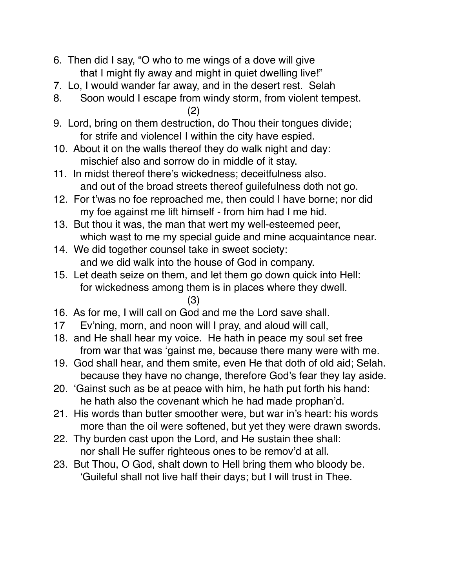- 6. Then did I say, "O who to me wings of a dove will give that I might fly away and might in quiet dwelling live!"
- 7. Lo, I would wander far away, and in the desert rest. Selah
- 8. Soon would I escape from windy storm, from violent tempest. (2)
- 9. Lord, bring on them destruction, do Thou their tongues divide; for strife and violencel I within the city have espied.
- 10. About it on the walls thereof they do walk night and day: mischief also and sorrow do in middle of it stay.
- 11. In midst thereof there's wickedness; deceitfulness also. and out of the broad streets thereof guilefulness doth not go.
- 12. For t'was no foe reproached me, then could I have borne; nor did my foe against me lift himself - from him had I me hid.
- 13. But thou it was, the man that wert my well-esteemed peer, which wast to me my special guide and mine acquaintance near.
- 14. We did together counsel take in sweet society: and we did walk into the house of God in company.
- 15. Let death seize on them, and let them go down quick into Hell: for wickedness among them is in places where they dwell.
- (3) 16. As for me, I will call on God and me the Lord save shall.
	- 17 Ev'ning, morn, and noon will I pray, and aloud will call,
	- 18. and He shall hear my voice. He hath in peace my soul set free from war that was 'gainst me, because there many were with me.
	- 19. God shall hear, and them smite, even He that doth of old aid; Selah. because they have no change, therefore God's fear they lay aside.
	- 20. 'Gainst such as be at peace with him, he hath put forth his hand: he hath also the covenant which he had made prophan'd.
	- 21. His words than butter smoother were, but war in's heart: his words more than the oil were softened, but yet they were drawn swords.
	- 22. Thy burden cast upon the Lord, and He sustain thee shall: nor shall He suffer righteous ones to be remov'd at all.
	- 23. But Thou, O God, shalt down to Hell bring them who bloody be. 'Guileful shall not live half their days; but I will trust in Thee.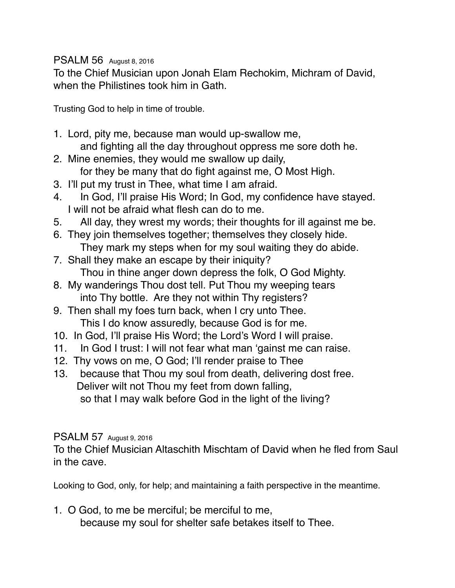PSALM 56 August 8, 2016

To the Chief Musician upon Jonah Elam Rechokim, Michram of David, when the Philistines took him in Gath.

Trusting God to help in time of trouble.

- 1. Lord, pity me, because man would up-swallow me, and fighting all the day throughout oppress me sore doth he.
- 2. Mine enemies, they would me swallow up daily,
	- for they be many that do fight against me, O Most High.
- 3. I'll put my trust in Thee, what time I am afraid.
- 4. In God, I'll praise His Word; In God, my confidence have stayed. I will not be afraid what flesh can do to me.
- 5. All day, they wrest my words; their thoughts for ill against me be.
- 6. They join themselves together; themselves they closely hide. They mark my steps when for my soul waiting they do abide.
- 7. Shall they make an escape by their iniquity? Thou in thine anger down depress the folk, O God Mighty.
- 8. My wanderings Thou dost tell. Put Thou my weeping tears into Thy bottle. Are they not within Thy registers?
- 9. Then shall my foes turn back, when I cry unto Thee. This I do know assuredly, because God is for me.
- 10. In God, I'll praise His Word; the Lord's Word I will praise.
- 11. In God I trust: I will not fear what man 'gainst me can raise.
- 12. Thy vows on me, O God; I'll render praise to Thee
- 13. because that Thou my soul from death, delivering dost free. Deliver wilt not Thou my feet from down falling, so that I may walk before God in the light of the living?

PSALM 57 August 9, 2016

To the Chief Musician Altaschith Mischtam of David when he fled from Saul in the cave.

Looking to God, only, for help; and maintaining a faith perspective in the meantime.

1. O God, to me be merciful; be merciful to me, because my soul for shelter safe betakes itself to Thee.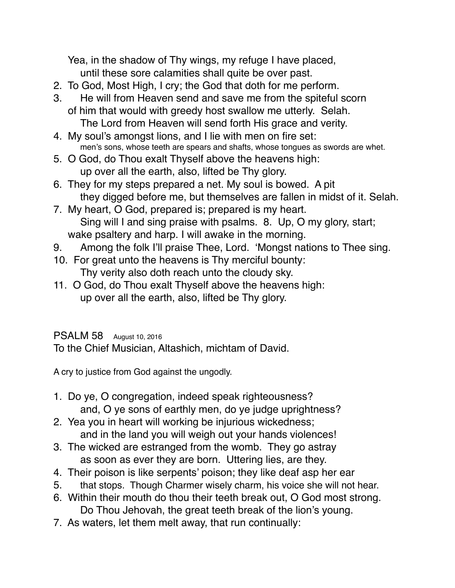Yea, in the shadow of Thy wings, my refuge I have placed, until these sore calamities shall quite be over past.

- 2. To God, Most High, I cry; the God that doth for me perform.
- 3. He will from Heaven send and save me from the spiteful scorn of him that would with greedy host swallow me utterly. Selah. The Lord from Heaven will send forth His grace and verity.
- 4. My soul's amongst lions, and I lie with men on fire set: men's sons, whose teeth are spears and shafts, whose tongues as swords are whet.
- 5. O God, do Thou exalt Thyself above the heavens high: up over all the earth, also, lifted be Thy glory.
- 6. They for my steps prepared a net. My soul is bowed. A pit they digged before me, but themselves are fallen in midst of it. Selah.
- 7. My heart, O God, prepared is; prepared is my heart. Sing will I and sing praise with psalms. 8. Up, O my glory, start; wake psaltery and harp. I will awake in the morning.
- 9. Among the folk I'll praise Thee, Lord. 'Mongst nations to Thee sing.
- 10. For great unto the heavens is Thy merciful bounty: Thy verity also doth reach unto the cloudy sky.
- 11. O God, do Thou exalt Thyself above the heavens high: up over all the earth, also, lifted be Thy glory.

PSALM 58 August 10, 2016

To the Chief Musician, Altashich, michtam of David.

A cry to justice from God against the ungodly.

- 1. Do ye, O congregation, indeed speak righteousness? and, O ye sons of earthly men, do ye judge uprightness?
- 2. Yea you in heart will working be injurious wickedness; and in the land you will weigh out your hands violences!
- 3. The wicked are estranged from the womb. They go astray as soon as ever they are born. Uttering lies, are they.
- 4. Their poison is like serpents' poison; they like deaf asp her ear
- 5. that stops. Though Charmer wisely charm, his voice she will not hear.
- 6. Within their mouth do thou their teeth break out, O God most strong. Do Thou Jehovah, the great teeth break of the lion's young.
- 7. As waters, let them melt away, that run continually: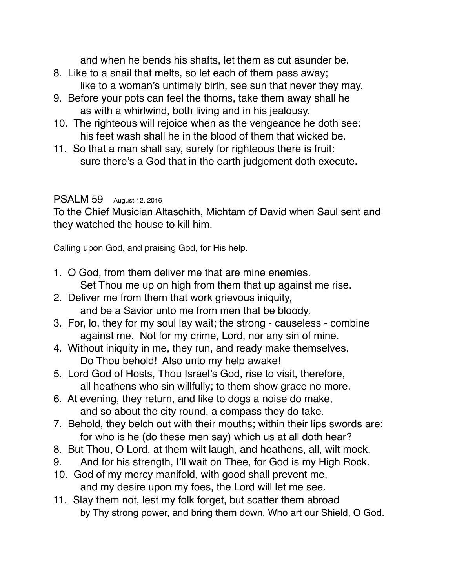and when he bends his shafts, let them as cut asunder be.

- 8. Like to a snail that melts, so let each of them pass away; like to a woman's untimely birth, see sun that never they may.
- 9. Before your pots can feel the thorns, take them away shall he as with a whirlwind, both living and in his jealousy.
- 10. The righteous will rejoice when as the vengeance he doth see: his feet wash shall he in the blood of them that wicked be.
- 11. So that a man shall say, surely for righteous there is fruit: sure there's a God that in the earth judgement doth execute.

## PSALM 59 August 12, 2016

To the Chief Musician Altaschith, Michtam of David when Saul sent and they watched the house to kill him.

Calling upon God, and praising God, for His help.

- 1. O God, from them deliver me that are mine enemies. Set Thou me up on high from them that up against me rise.
- 2. Deliver me from them that work grievous iniquity, and be a Savior unto me from men that be bloody.
- 3. For, lo, they for my soul lay wait; the strong causeless combine against me. Not for my crime, Lord, nor any sin of mine.
- 4. Without iniquity in me, they run, and ready make themselves. Do Thou behold! Also unto my help awake!
- 5. Lord God of Hosts, Thou Israel's God, rise to visit, therefore, all heathens who sin willfully; to them show grace no more.
- 6. At evening, they return, and like to dogs a noise do make, and so about the city round, a compass they do take.
- 7. Behold, they belch out with their mouths; within their lips swords are: for who is he (do these men say) which us at all doth hear?
- 8. But Thou, O Lord, at them wilt laugh, and heathens, all, wilt mock.
- 9. And for his strength, I'll wait on Thee, for God is my High Rock.
- 10. God of my mercy manifold, with good shall prevent me, and my desire upon my foes, the Lord will let me see.
- 11. Slay them not, lest my folk forget, but scatter them abroad by Thy strong power, and bring them down, Who art our Shield, O God.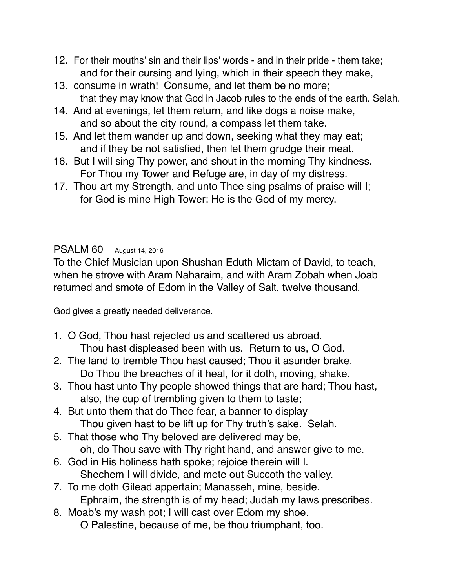- 12. For their mouths' sin and their lips' words and in their pride them take; and for their cursing and lying, which in their speech they make,
- 13. consume in wrath! Consume, and let them be no more; that they may know that God in Jacob rules to the ends of the earth. Selah.
- 14. And at evenings, let them return, and like dogs a noise make, and so about the city round, a compass let them take.
- 15. And let them wander up and down, seeking what they may eat; and if they be not satisfied, then let them grudge their meat.
- 16. But I will sing Thy power, and shout in the morning Thy kindness. For Thou my Tower and Refuge are, in day of my distress.
- 17. Thou art my Strength, and unto Thee sing psalms of praise will I; for God is mine High Tower: He is the God of my mercy.

# PSALM 60 August 14, 2016

To the Chief Musician upon Shushan Eduth Mictam of David, to teach, when he strove with Aram Naharaim, and with Aram Zobah when Joab returned and smote of Edom in the Valley of Salt, twelve thousand.

God gives a greatly needed deliverance.

- 1. O God, Thou hast rejected us and scattered us abroad. Thou hast displeased been with us. Return to us, O God.
- 2. The land to tremble Thou hast caused; Thou it asunder brake. Do Thou the breaches of it heal, for it doth, moving, shake.
- 3. Thou hast unto Thy people showed things that are hard; Thou hast, also, the cup of trembling given to them to taste;
- 4. But unto them that do Thee fear, a banner to display Thou given hast to be lift up for Thy truth's sake. Selah.
- 5. That those who Thy beloved are delivered may be, oh, do Thou save with Thy right hand, and answer give to me.
- 6. God in His holiness hath spoke; rejoice therein will I. Shechem I will divide, and mete out Succoth the valley.
- 7. To me doth Gilead appertain; Manasseh, mine, beside. Ephraim, the strength is of my head; Judah my laws prescribes.
- 8. Moab's my wash pot; I will cast over Edom my shoe. O Palestine, because of me, be thou triumphant, too.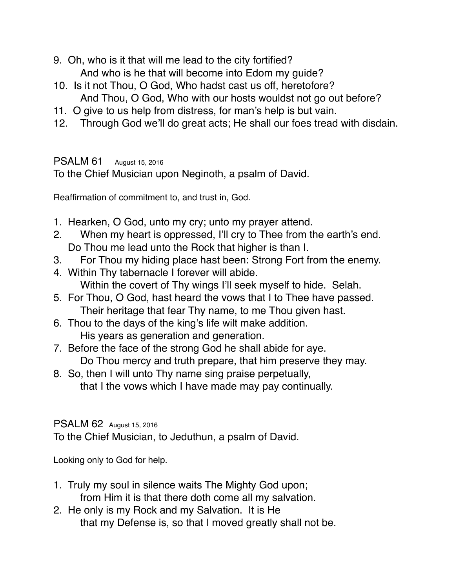- 9. Oh, who is it that will me lead to the city fortified? And who is he that will become into Edom my guide?
- 10. Is it not Thou, O God, Who hadst cast us off, heretofore? And Thou, O God, Who with our hosts wouldst not go out before?
- 11. O give to us help from distress, for man's help is but vain.
- 12. Through God we'll do great acts; He shall our foes tread with disdain.

## PSALM 61 August 15, 2016

To the Chief Musician upon Neginoth, a psalm of David.

Reaffirmation of commitment to, and trust in, God.

- 1. Hearken, O God, unto my cry; unto my prayer attend.
- 2. When my heart is oppressed, I'll cry to Thee from the earth's end. Do Thou me lead unto the Rock that higher is than I.
- 3. For Thou my hiding place hast been: Strong Fort from the enemy.
- 4. Within Thy tabernacle I forever will abide. Within the covert of Thy wings I'll seek myself to hide. Selah.
- 5. For Thou, O God, hast heard the vows that I to Thee have passed. Their heritage that fear Thy name, to me Thou given hast.
- 6. Thou to the days of the king's life wilt make addition. His years as generation and generation.
- 7. Before the face of the strong God he shall abide for aye. Do Thou mercy and truth prepare, that him preserve they may.
- 8. So, then I will unto Thy name sing praise perpetually, that I the vows which I have made may pay continually.

## PSALM 62 August 15, 2016

To the Chief Musician, to Jeduthun, a psalm of David.

Looking only to God for help.

- 1. Truly my soul in silence waits The Mighty God upon; from Him it is that there doth come all my salvation.
- 2. He only is my Rock and my Salvation. It is He that my Defense is, so that I moved greatly shall not be.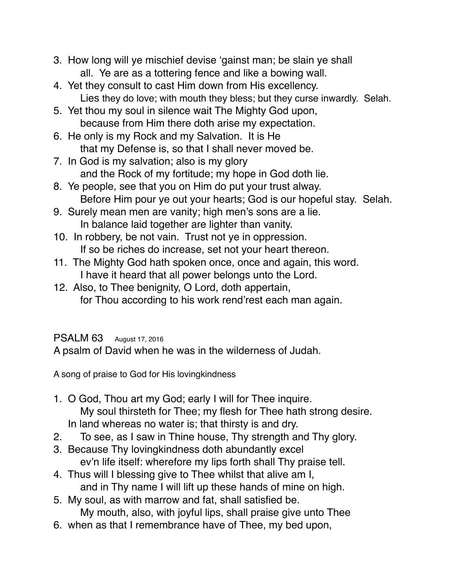- 3. How long will ye mischief devise 'gainst man; be slain ye shall all. Ye are as a tottering fence and like a bowing wall.
- 4. Yet they consult to cast Him down from His excellency. Lies they do love; with mouth they bless; but they curse inwardly. Selah.
- 5. Yet thou my soul in silence wait The Mighty God upon, because from Him there doth arise my expectation.
- 6. He only is my Rock and my Salvation. It is He that my Defense is, so that I shall never moved be.
- 7. In God is my salvation; also is my glory and the Rock of my fortitude; my hope in God doth lie.
- 8. Ye people, see that you on Him do put your trust alway. Before Him pour ye out your hearts; God is our hopeful stay. Selah.
- 9. Surely mean men are vanity; high men's sons are a lie. In balance laid together are lighter than vanity.
- 10. In robbery, be not vain. Trust not ye in oppression. If so be riches do increase, set not your heart thereon.
- 11. The Mighty God hath spoken once, once and again, this word. I have it heard that all power belongs unto the Lord.
- 12. Also, to Thee benignity, O Lord, doth appertain, for Thou according to his work rend'rest each man again.

# PSALM 63 August 17, 2016

A psalm of David when he was in the wilderness of Judah.

A song of praise to God for His lovingkindness

- 1. O God, Thou art my God; early I will for Thee inquire. My soul thirsteth for Thee; my flesh for Thee hath strong desire. In land whereas no water is; that thirsty is and dry.
- 2. To see, as I saw in Thine house, Thy strength and Thy glory.
- 3. Because Thy lovingkindness doth abundantly excel ev'n life itself: wherefore my lips forth shall Thy praise tell.
- 4. Thus will I blessing give to Thee whilst that alive am I, and in Thy name I will lift up these hands of mine on high.
- 5. My soul, as with marrow and fat, shall satisfied be. My mouth, also, with joyful lips, shall praise give unto Thee
- 6. when as that I remembrance have of Thee, my bed upon,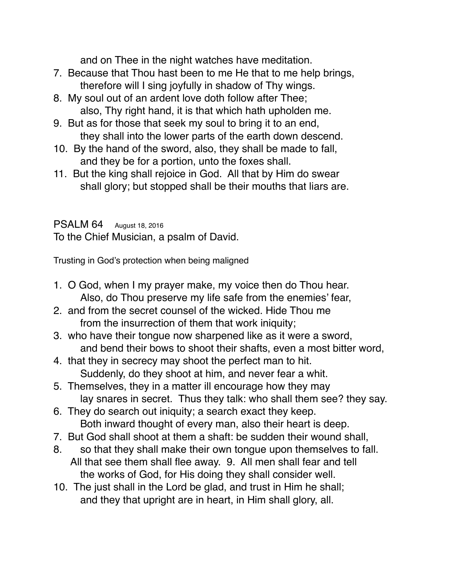and on Thee in the night watches have meditation.

- 7. Because that Thou hast been to me He that to me help brings, therefore will I sing joyfully in shadow of Thy wings.
- 8. My soul out of an ardent love doth follow after Thee; also, Thy right hand, it is that which hath upholden me.
- 9. But as for those that seek my soul to bring it to an end, they shall into the lower parts of the earth down descend.
- 10. By the hand of the sword, also, they shall be made to fall, and they be for a portion, unto the foxes shall.
- 11. But the king shall rejoice in God. All that by Him do swear shall glory; but stopped shall be their mouths that liars are.

## PSALM 64 August 18, 2016

To the Chief Musician, a psalm of David.

Trusting in God's protection when being maligned

- 1. O God, when I my prayer make, my voice then do Thou hear. Also, do Thou preserve my life safe from the enemies' fear,
- 2. and from the secret counsel of the wicked. Hide Thou me from the insurrection of them that work iniquity;
- 3. who have their tongue now sharpened like as it were a sword, and bend their bows to shoot their shafts, even a most bitter word,
- 4. that they in secrecy may shoot the perfect man to hit. Suddenly, do they shoot at him, and never fear a whit.
- 5. Themselves, they in a matter ill encourage how they may lay snares in secret. Thus they talk: who shall them see? they say.
- 6. They do search out iniquity; a search exact they keep. Both inward thought of every man, also their heart is deep.
- 7. But God shall shoot at them a shaft: be sudden their wound shall,
- 8. so that they shall make their own tongue upon themselves to fall. All that see them shall flee away. 9. All men shall fear and tell the works of God, for His doing they shall consider well.
- 10. The just shall in the Lord be glad, and trust in Him he shall; and they that upright are in heart, in Him shall glory, all.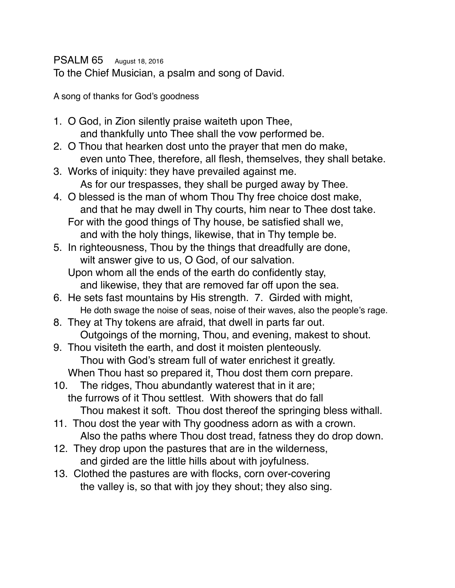#### PSALM 65 August 18, 2016

To the Chief Musician, a psalm and song of David.

A song of thanks for God's goodness

- 1. O God, in Zion silently praise waiteth upon Thee, and thankfully unto Thee shall the vow performed be.
- 2. O Thou that hearken dost unto the prayer that men do make, even unto Thee, therefore, all flesh, themselves, they shall betake.
- 3. Works of iniquity: they have prevailed against me. As for our trespasses, they shall be purged away by Thee.
- 4. O blessed is the man of whom Thou Thy free choice dost make, and that he may dwell in Thy courts, him near to Thee dost take. For with the good things of Thy house, be satisfied shall we, and with the holy things, likewise, that in Thy temple be.
- 5. In righteousness, Thou by the things that dreadfully are done, wilt answer give to us, O God, of our salvation. Upon whom all the ends of the earth do confidently stay, and likewise, they that are removed far off upon the sea.
- 6. He sets fast mountains by His strength. 7. Girded with might, He doth swage the noise of seas, noise of their waves, also the people's rage.
- 8. They at Thy tokens are afraid, that dwell in parts far out. Outgoings of the morning, Thou, and evening, makest to shout.
- 9. Thou visiteth the earth, and dost it moisten plenteously. Thou with God's stream full of water enrichest it greatly. When Thou hast so prepared it, Thou dost them corn prepare.
- 10. The ridges, Thou abundantly waterest that in it are; the furrows of it Thou settlest. With showers that do fall Thou makest it soft. Thou dost thereof the springing bless withall.
- 11. Thou dost the year with Thy goodness adorn as with a crown. Also the paths where Thou dost tread, fatness they do drop down.
- 12. They drop upon the pastures that are in the wilderness, and girded are the little hills about with joyfulness.
- 13. Clothed the pastures are with flocks, corn over-covering the valley is, so that with joy they shout; they also sing.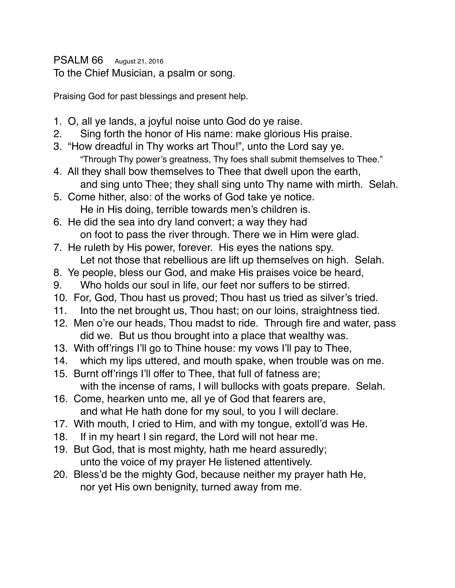PSALM 66 August 21, 2016 To the Chief Musician, a psalm or song.

Praising God for past blessings and present help.

- 1. O, all ye lands, a joyful noise unto God do ye raise.
- 2. Sing forth the honor of His name: make glorious His praise.
- 3. "How dreadful in Thy works art Thou!", unto the Lord say ye. "Through Thy power's greatness, Thy foes shall submit themselves to Thee."
- 4. All they shall bow themselves to Thee that dwell upon the earth, and sing unto Thee; they shall sing unto Thy name with mirth. Selah.
- 5. Come hither, also: of the works of God take ye notice. He in His doing, terrible towards men's children is.
- 6. He did the sea into dry land convert; a way they had on foot to pass the river through. There we in Him were glad.
- 7. He ruleth by His power, forever. His eyes the nations spy. Let not those that rebellious are lift up themselves on high. Selah.
- 8. Ye people, bless our God, and make His praises voice be heard,
- 9. Who holds our soul in life, our feet nor suffers to be stirred.
- 10. For, God, Thou hast us proved; Thou hast us tried as silver's tried.
- 11. Into the net brought us, Thou hast; on our loins, straightness tied.
- 12. Men o're our heads, Thou madst to ride. Through fire and water, pass did we. But us thou brought into a place that wealthy was.
- 13. With off'rings I'll go to Thine house: my vows I'll pay to Thee,
- 14. which my lips uttered, and mouth spake, when trouble was on me.
- 15. Burnt off'rings I'll offer to Thee, that full of fatness are; with the incense of rams, I will bullocks with goats prepare. Selah.
- 16. Come, hearken unto me, all ye of God that fearers are, and what He hath done for my soul, to you I will declare.
- 17. With mouth, I cried to Him, and with my tongue, extoll'd was He.
- 18. If in my heart I sin regard, the Lord will not hear me.
- 19. But God, that is most mighty, hath me heard assuredly; unto the voice of my prayer He listened attentively.
- 20. Bless'd be the mighty God, because neither my prayer hath He, nor yet His own benignity, turned away from me.